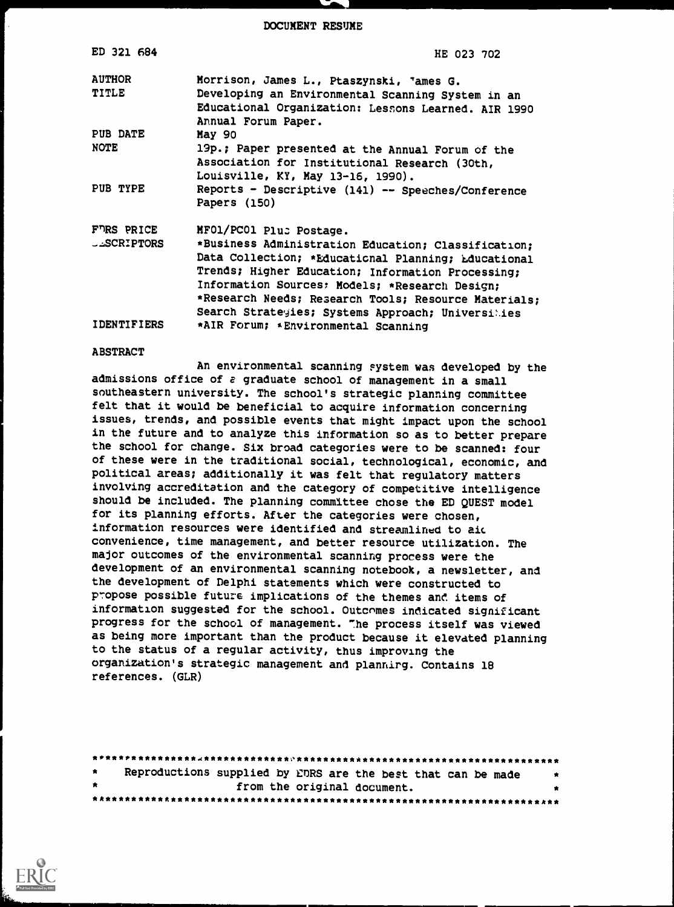DOCUMENT RESUME

| ED 321 684         | HE 023 702                                           |
|--------------------|------------------------------------------------------|
| <b>AUTHOR</b>      | Morrison, James L., Ptaszynski, <sup>T</sup> ames G. |
| TITLE              | Developing an Environmental Scanning System in an    |
|                    | Educational Organization: Lessons Learned. AIR 1990  |
|                    | Annual Forum Paper.                                  |
| PUB DATE           | May 90                                               |
| NOTE               | 19p.; Paper presented at the Annual Forum of the     |
|                    | Association for Institutional Research (30th,        |
|                    | Louisville, KY, May 13-16, 1990).                    |
| PUB TYPE           | Reports - Descriptive (141) -- Speeches/Conference   |
|                    | Papers (150)                                         |
| FURS PRICE         | MF01/PC01 Plus Postage.                              |
| <b>LASCRIPTORS</b> | *Business Administration Education; Classification;  |
|                    | Data Collection; *Educational Planning; Educational  |
|                    | Trends; Higher Education; Information Processing;    |
|                    | Information Sources: Models; *Research Design;       |
|                    | *Research Needs; Research Tools; Resource Materials; |
|                    | Search Strategies; Systems Approach; Universities    |
| <b>IDENTIFIERS</b> | *AIR Forum; *Environmental Scanning                  |

#### ABSTRACT

An environmental scanning system was developed by the admissions office of a graduate school of management in a small southeastern university. The school's strategic planning committee felt that it would be beneficial to acquire information concerning issues, trends, and possible events that might impact upon the school in the future and to analyze this information so as to better prepare the school for change. Six broad categories were to be scanned: four of these were in the traditional social, technological, economic, and political areas; additionally it was felt that regulatory matters involving accreditation and the category of competitive intelligence should be included. The planning committee chose the ED QUEST model for its planning efforts. After the categories were chosen, information resources were identified and streamlined to aic convenience, time management, and better resource utilization. The major outcomes of the environmental scanning process were the development of an environmental scanning notebook, a newsletter, and the development of Delphi statements which were constructed to propose possible future implications of the themes and items of information suggested for the school. Outcomes indicated significant progress for the school of management. The process itself was viewed as being more important than the product because it elevated planning to the status of a regular activity, thus improving the organization's strategic management and planning. Contains 18 references. (GLR)

| $\bullet$ | Reproductions supplied by EDRS are the best that can be made<br>- 大 |  |
|-----------|---------------------------------------------------------------------|--|
| $\star$   | from the original document.                                         |  |
|           |                                                                     |  |

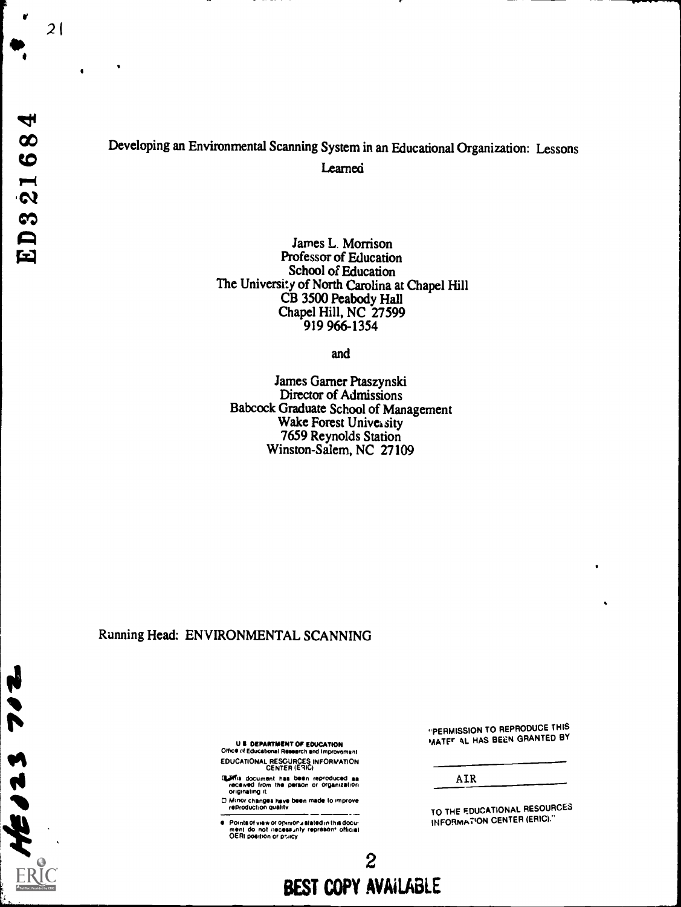$\blacktriangledown$ 

 $46023$ 

# Developing an Environmental Scanning System in an Educational Organization: Lessons Learned

James L. Morrison Professor of Education School of Education The University of North Carolina at Chapel Hill CB 3500 Peabody Hall Chapel Hill, NC 27599 919 966-1354

and

James Gamer Ptaszynski Director of Admissions Babcock Graduate School of Management Wake Forest University 7659 Reynolds Station Winston-Salem, NC 27109

#### Running Head: ENVIRONMENTAL SCANNING

U I DEPARTMENT OF EDUCATION Officio of Educational Research and Improvement EDUCATIONAL RESOURCES INFORMATION CENTER (EIIC)

q.Wris document has been reproduced as received from the person or organization originating it

0 Minor changes have been made to improve reproduction Quality  $\overline{\phantom{a}}$ 

Points of view or opinion⊿stated in this docu-<br>ment :do\_not\_necess⊿rity\_represenf\_official<br>OERI position or pciicy

"PERMISSION TO REPRODUCE THIS MATEr AL HAS BEEN GRANTED BY

AIR

TO THE EDUCATIONAL RESOURCES INFORmATiON CENTER (ERIC)."

2 BEST COPY AVAILABLE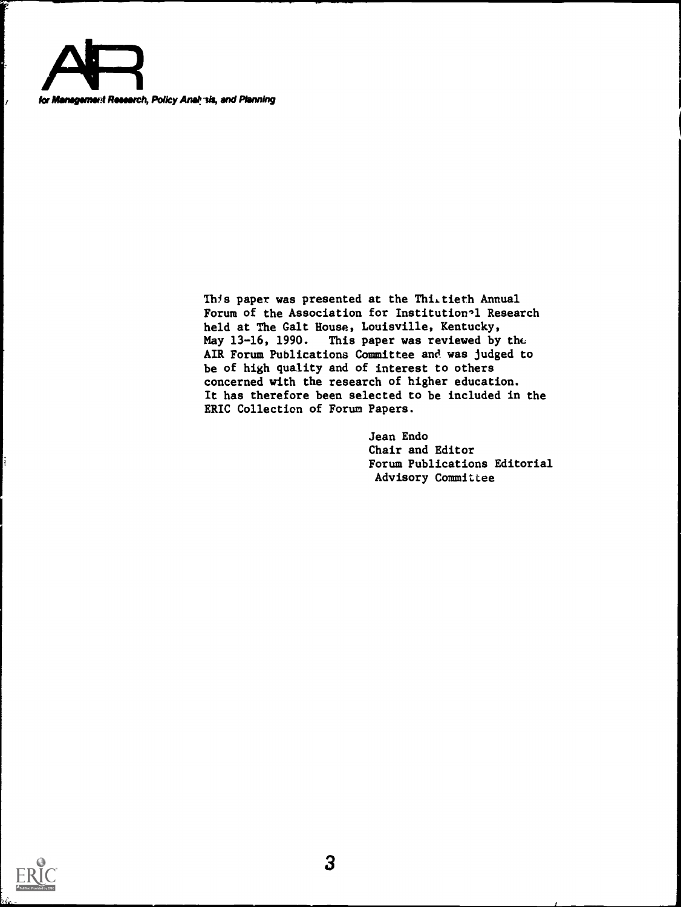

This paper was presented at the Thi.tieth Annual Forum of the Association for Institution<sup>-1</sup> Research held at The Galt House, Louisville, Kentucky,<br>May 13-16, 1990. This paper was reviewed by This paper was reviewed by the AIR Forum Publications Committee and was judged to be of high quality and of interest to others concerned with the research of higher education. It has therefore been selected to be included in the ERIC Collection of Forum Papers.

> Jean Endo Chair and Editor Forum Publications Editorial Advisory Committee

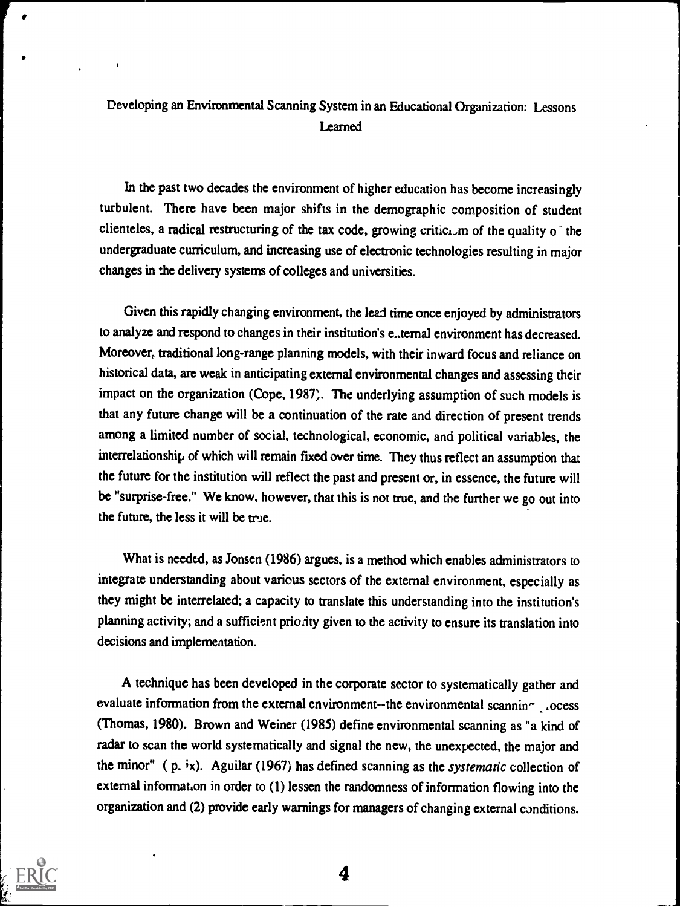# Developing an Environmental Scanning System in an Educational Organization: Lessons **Learned**

In the past two decades the environment of higher education has become increasingly turbulent. There have been major shifts in the demographic composition of student clienteles, a radical restructuring of the tax code, growing critici, m of the quality o the undergraduate curriculum, and increasing use of electronic technologies resulting in major changes in the delivery systems of colleges and universities.

Given this rapidly changing environment, the lead time once enjoyed by administrators to analyze and respond to changes in their institution's e..ternal environment has decreased. Moreover, traditional long-range planning models, with their inward focus and reliance on historical data, are weak in anticipating external environmental changes and assessing their impact on the organization (Cope, 1987). The underlying assumption of such models is that any future change will be a continuation of the rate and direction of present trends among a limited number of social, technological, economic, and political variables, the interrelationship of which will remain fixed over time. They thus reflect an assumption that the future for the institution will reflect the past and present or, in essence, the future will be "surprise-free." We know, however, that this is not true, and the further we go out into the future, the less it will be true.

What is needed, as Jonsen (1986) argues, is a method which enables administrators to integrate understanding about various sectors of the external environment, especially as they might be interrelated; a capacity to translate this understanding into the institution's planning activity; and a sufficient priority given to the activity to ensure its translation into decisions and implementation.

A technique has been developed in the corporate sector to systematically gather and evaluate information from the external environment--the environmental scanning .ocess (Thomas, 1980). Brown and Weiner (1985) define environmental scanning as "a kind of radar to scan the world systematically and signal the new, the unexpected, the major and the minor" ( p. ix). Aguilar (1967) has defined scanning as the systematic collection of external information in order to (1) lessen the randomness of information flowing into the organization and (2) provide early warnings for managers of changing external conditions.

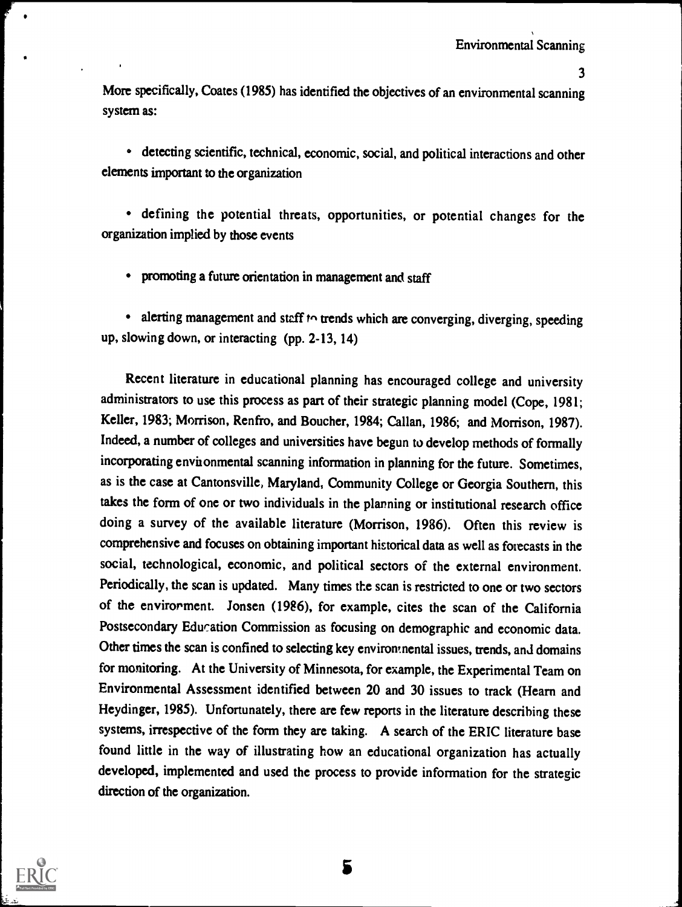More specifically, Coates (1985) has identified the objectives of an environmental scanning system as:

detecting scientific, technical, economic, social, and political interactions and other elements important to the organization

defining the potential threats, opportunities, or potential changes for the organization implied by those events

promoting a future orientation in management and staff

• alerting management and staff  $t \circ$  trends which are converging, diverging, speeding up, slowing down, or interacting (pp. 2-13, 14)

Recent literature in educational planning has encouraged college and university administrators to use this process as part of their strategic planning model (Cope, 1981; Keller, 1983; Morrison, Renfro, and Boucher, 1984; Callan, 1986; and Morrison, 1987). Indeed, a number of colleges and universities have begun to develop methods of formally incorporating environmental scanning information in planning for the future. Sometimes, as is the case at Cantonsville, Maryland, Community College or Georgia Southern, this takes the form of one or two individuals in the planning or institutional research office doing a survey of the available literature (Morrison, 1986). Often this review is comprehensive and focuses on obtaining important historical data as well as forecasts in the social, technological, economic, and political sectors of the external environment. Periodically, the scan is updated. Many times the scan is restricted to one or two sectors of the envirorment. Jonsen (1986), for example, cites the scan of the California Postsecondary Education Commission as focusing on demographic and economic data. Other times the scan is confined to selecting key environmental issues, trends, and domains for monitoring. At the University of Minnesota, for example, the Experimental Team on Environmental Assessment identified between 20 and 30 issues to track (Hearn and Heydinger, 1985). Unfortunately, there are few reports in the literature describing these systems, irrespective of the form they are taking. A search of the ERIC literature base found little in the way of illustrating how an educational organization has actually developed, implemented and used the process to provide information for the strategic direction of the organization.

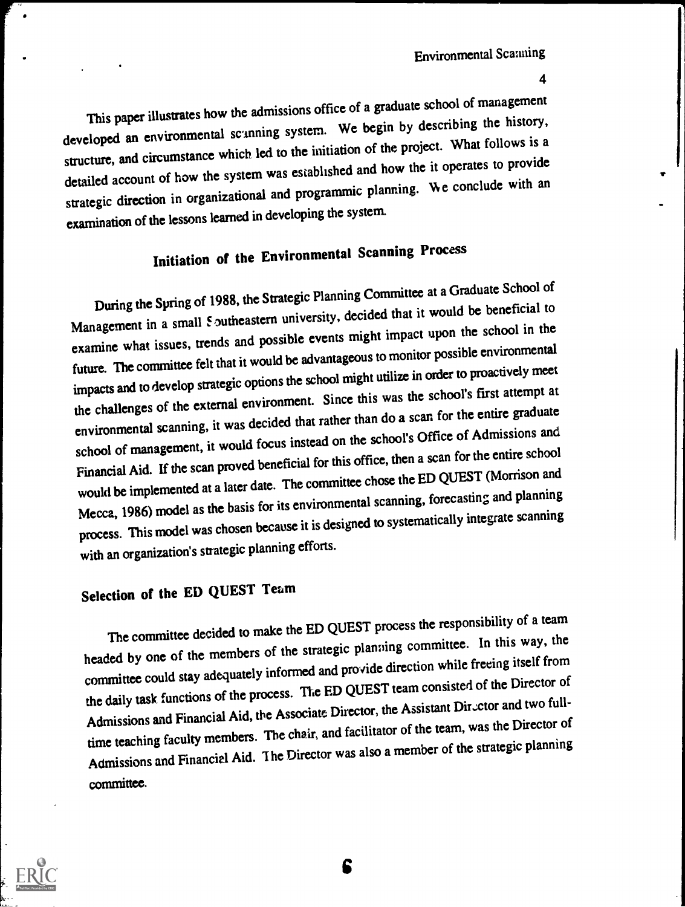This paper illustrates how the admissions office of a graduate school of management developed an environmental scunning system. We begin by describing the history, structure, and circumstance which led to the initiation of the project. What follows is a detailed account of how the system was established and how the it operates to provide strategic direction in organizational and programmic planning. We conclude with an examination of the lessons learned in developing the system.

# Initiation of the Environmental Scanning Process

During the Spring of 1988, the Strategic Planning Committee at a Graduate School of Management in a small *S* outheastern university, decided that it would be beneficial to examine what issues, trends and possible events might impact upon the school in the future. The committee felt that it would be advantageous to monitor possible environmental impacts and to develop strategic options the school might utilize in order to proactively meet the challenges of the external environment. Since this was the school's first attempt at environmental scanning, it was decided that rather than do a scan for the entire graduate school of management, it would focus instead on the school's Office of Admissions and Financial Aid. If the scan proved beneficial for this office, then a scan for the entire school would be implemented at a later date. The committee chose the ED QUEST (Morrison and Mecca, 1986) model as the basis for its environmental scanning, forecasting and planning process. This model was chosen because it is designed to systematically integrate scanning with an organization's strategic planning efforts.

# Selection of the ED QUEST Team

The committee decided to make the ED QUEST process the responsibility of a team headed by one of the members of the strategic planning committee. In this way, the committee could stay adequately informed and provide direction while freeing itself from the daily task functions of the process. The ED QUEST team consisted of the Director of Admissions and Financial Aid, the Associate Director, the Assistant Director and two fulltime teaching faculty members. The chair, and facilitator of the team, was the Director of Admissions and Financial Aid. The Director was also a member of the strategic planning committee.



C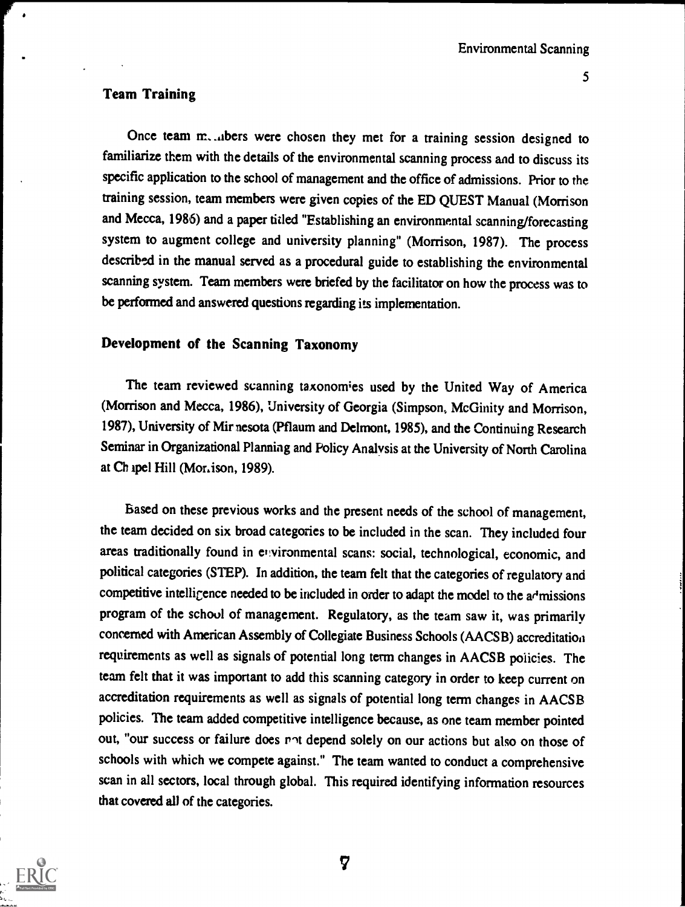## Team Training

Once team m. ..ibers were chosen they met for a training session designed to familiarize them with the details of the environmental scanning process and to discuss its specific application to the school of management and the office of admissions. Prior to the training session, team members were given copies of the ED QUEST Manual (Morrison and Mecca, 1986) and a paper titled "Establishing an environmental scanning/forecasting system to augment college and university planning" (Morrison, 1987). The process described in the manual served as a procedural guide to establishing the environmental scanning system. Team members were briefed by the facilitator on how the process was to be performed and answered questions regarding its implementation.

## Development of the Scanning Taxonomy

The team reviewed scanning taxonomies used by the United Way of America (Morrison and Mecca, 1986), University of Georgia (Simpson, McGinity and Morrison, 1987), University of Mir nesota (Pflaum and Delmont, 1985), and the Continuing Research Seminar in Organizational Planning and Policy Analysis at the University of North Carolina at Ch apel Hill (Mor.ison, 1989).

Based on these previous works and the present needs of the school of management, the team decided on six broad categories to be included in the scan. They included four areas traditionally found in environmental scans: social, technological, economic, and political categories (STEP). In addition, the team felt that the categories of regulatory and competitive intelligence needed to be included in order to adapt the model to the a<sup>d</sup>missions program of the school of management. Regulatory, as the team saw it, was primarily concerned with American Assembly of Collegiate Business Schools (AACSB) accreditation requirements as well as signals of potential long term changes in AACSB policies. The team felt that it was important to add this scanning category in order to keep current on accreditation requirements as well as signals of potential long term changes in AACSB policies. The team added competitive intelligence because, as one team member pointed out, "our success or failure does not depend solely on our actions but also on those of schools with which we compete against." The team wanted to conduct a comprehensive scan in all sectors, local through global. This required identifying information resources that covered all of the categories.

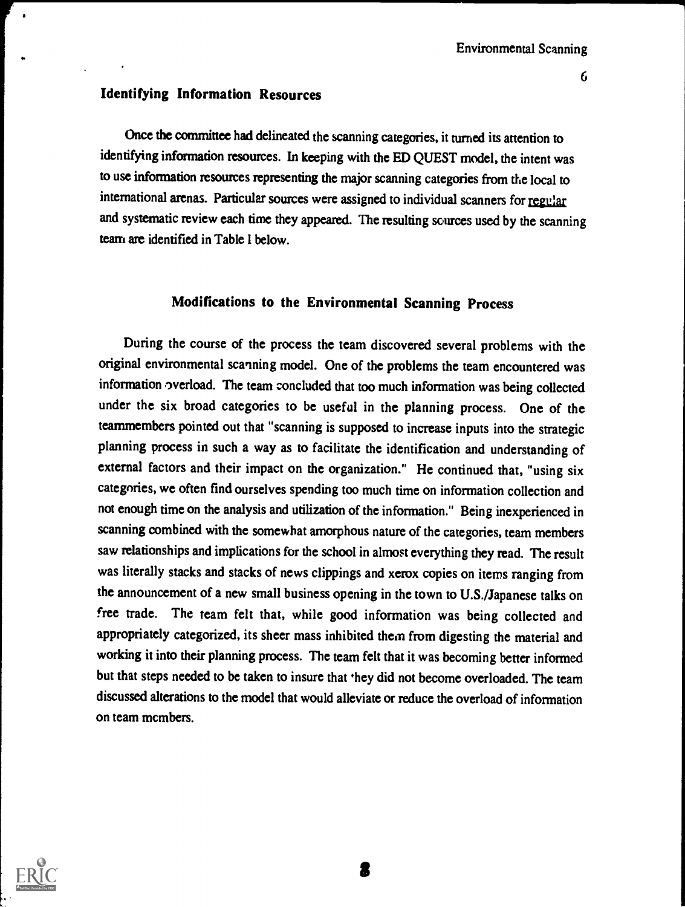## Identifying Information Resources

Once the committee had delineated the scanning categories, it turned its attention to identifying information resources. In keeping with the ED QUEST model, the intent was to use information resources representing the major scanning categories from the local to international arenas. Particular sources were assigned to individual scanners for regular and systematic review each time they appeared. The resulting sources used by the scanning team are identified in Table 1 below.

# Modifications to the Environmental Scanning Process

During the course of the process the team discovered several problems with the original environmental scanning model. One of the problems the team encountered was information overload. The team concluded that too much information was being collected under the six broad categories to be useful in the planning process. One of the teammembers pointed out that "scanning is supposed to increase inputs into the strategic planning process in such a way as to facilitate the identification and understanding of external factors and their impact on the organization." He continued that, "using six categories, we often find ourselves spending too much time on information collection and not enough time on the analysis and utilization of the information." Being inexperienced in scanning combined with the somewhat amorphous nature of the categories, team members saw relationships and implications for the school in almost everything they read. The result was literally stacks and stacks of news clippings and xerox copies on items ranging from the announcement of a new small business opening in the town to U.S./Japanese talks on free trade. The team felt that, while good information was being collected and appropriately categorized, its sheer mass inhibited then from digesting the material and working it into their planning process. The team felt that it was becoming better informed but that steps needed to be taken to insure that they did not become overloaded. The team discussed alterations to the model that would alleviate or reduce the overload of information on team members.

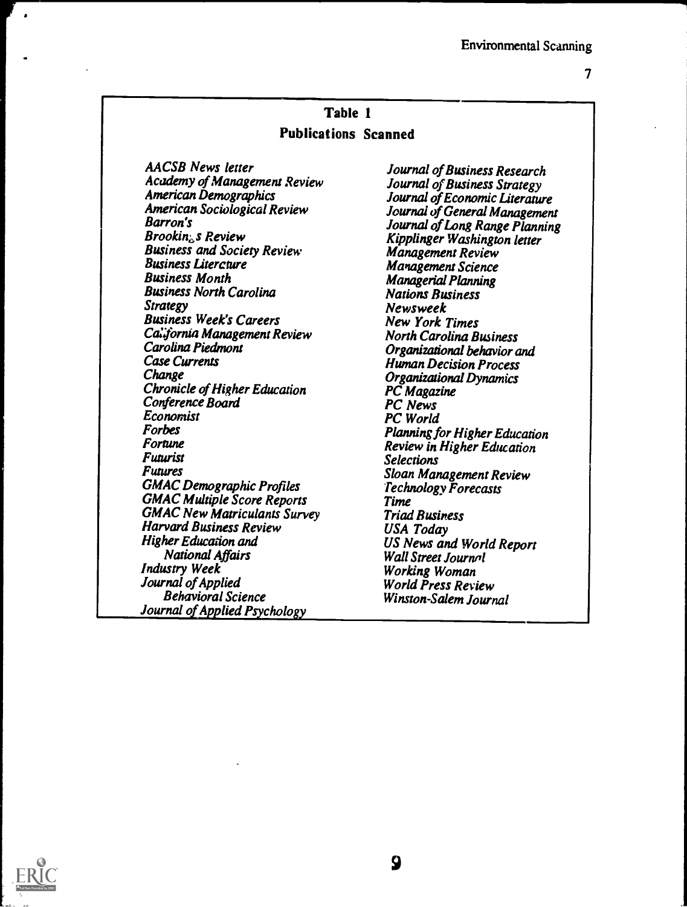# Table 1 Publications Scanned

AACSB News letter Academy of Management Review American Demographics American Sociological Review Barron's  $Brookin<sub>c</sub>$ s Review Business and Society Review Business Litercture Business Month Business North Carolina Strategy Business Week's Careers California Management Review Carolina Piedmont Case Currents **Change** Chronicle of Higher Education Conference Board Economist Forbes Fortune Futurist Futures GMAC Demographic Profiles GMAC Multiple Score Reports GMAC New Matriculants Survey Harvard Business Review Higher Education and National Affairs Industry Week Journal of Applied Behavioral Science Journal of Applied Psychology

Journal of Business Research Journal of Business Strategy Journal of Economic Literature Journal of General Management Journal of Long Range Planning Kipplinger Washington letter Management Review Management Science Managerial Planning Nations Business Newsweek New York Times North Carolina Business Organizational behavior and Human Decision Process Organizational Dynamics PC Magazine PC News PC World Planning for Higher Education Review in Higher Education Selections Sloan Management Review Technology Forecasts Time Triad Business USA Today US News and World Report Wall Street Journal Working Woman World Press Review Winston-Salem Journal

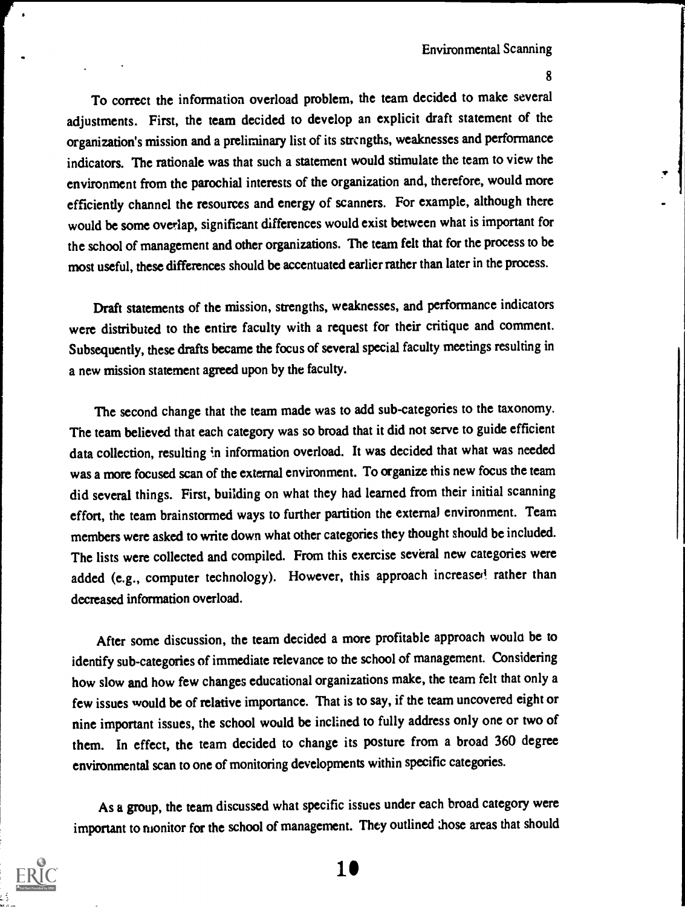ro correct de<br>adjustments. Fire<br>organization's mis To correct the information overload problem, the team decided to make several adjustments. First, the team decided to develop an explicit draft statement of the organization's mission and a preliminary list of its strengths, weaknesses and performance indicators. The rationale was that such a statement would stimulate the team to view the environment from the parochial interests of the organization and, therefore, would more efficiently channel the resources and energy of scanners. For example, although there would be some overlap, significant differences would exist between what is important for the school of management and other organizations. The team felt that for the process to be most useful, these differences should be accentuated earlier rather than later in the process.

> Draft statements of the mission, strengths, weaknesses, and performance indicators were distributed to the entire faculty with a request for their critique and comment. Subsequently, these drafts became the focus of several special faculty meetings resulting in a new mission statement agreed upon by the faculty.

> The second change that the team made was to add sub-categories to the taxonomy. The team believed that each category was so broad that it did not serve to guide efficient data collection, resulting in information overload. It was decided that what was needed was a more focused scan of the external environment. To organize this new focus the team did several things. First, building on what they had learned from their initial scanning effort, the team brainstormed ways to further partition the external environment. Team members were asked to write down what other categories they thought should be included. The lists were collected and compiled. From this exercise several new categories were added (e.g., computer technology). However, this approach increased rather than decreased information overload.

> After some discussion, the team decided a more profitable approach would be to identify sub-categories of immediate relevance to the school of management. Considering how slow and how few changes educational organizations make, the team felt that only a few issues would be of relative importance. That is to say, if the team uncovered eight or nine important issues, the school would be inclined to fully address only one or two of them. In effect, the team decided to change its posture from a broad 360 degree environmental scan to one of monitoring developments within specific categories.

> As a group, the team discussed what specific issues under each broad category were important to monitor for the school of management. They outlined those areas that should

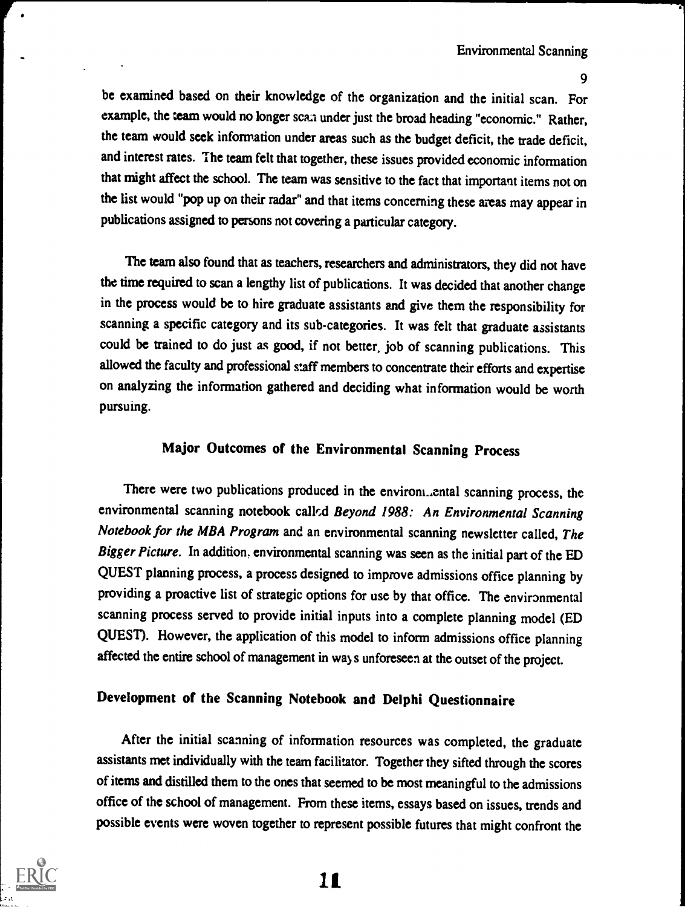be examined based on their knowledge of the organization and the initial scan. For example, the team would no longer scan under just the broad heading "economic." Rather, the team would seek information under areas such as the budget deficit, the trade deficit, and interest rates. The team felt that together, these issues provided economic information that might affect the school. The team was sensitive to the fact that important items not on the list would "pop up on their radar" and that items concerning these areas may appear in publications assigned to persons not covering a particular category.

The team also found that as teachers, researchers and administrators, they did not have the time required to scan a lengthy list of publications. It was decided that another change in the process would be to hire graduate assistants and give them the responsibility for scanning a specific category and its sub-categories. It was felt that graduate assistants could be trained to do just as good, if not better, job of scanning publications. This allowed the faculty and professional staff members to concentrate their efforts and expertise on analyzing the information gathered and deciding what information would be worth pursuing.

# Major Outcomes of the Environmental Scanning Process

There were two publications produced in the environizental scanning process, the environmental scanning notebook called Beyond 1988: An Environmental Scanning Notebook for the MBA Program and an environmental scanning newsletter called, The Bigger Picture. In addition, environmental scanning was seen as the initial part of the ED QUEST planning process, a process designed to improve admissions office planning by providing a proactive list of strategic options for use by that office. The environmental scanning process served to provide initial inputs into a complete planning model (ED QUEST). However, the application of this model to inform admissions office planning affected the entire school of management in way s unforeseen at the outset of the project.

# Development of the Scanning Notebook and Delphi Questionnaire

After the initial scanning of information resources was completed, the graduate assistants met individually with the team facilitator. Together they sifted through the scores of items and distilled them to the ones that seemed to be most meaningful to the admissions office of the school of management. From these items, essays based on issues, trends and possible events were woven together to represent possible futures that might confront the



1L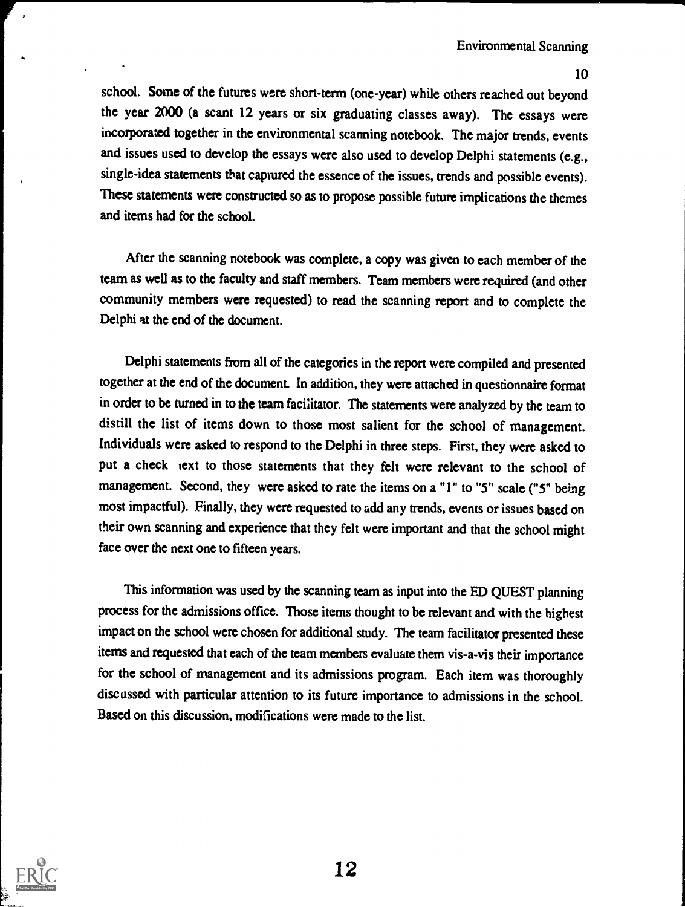school. Some of the futures were short-term (one-year) while others reached out beyond the year 2000 (a scant 12 years or six graduating classes away). The essays were incorporated together in the environmental scanning notebook. The major trends, events and issues used to develop the essays were also used to develop Delphi statements (e.g., single-idea statements that captured the essence of the issues, trends and possible events). These statements were constructed so as to propose possible future implications the themes and items had for the school.

After the scanning notebook was complete, a copy was given to each member of the team as well as to the faculty and staff members. Team members were required (and other community members were requested) to read the scanning report and to complete the Delphi at the end of the document.

Delphi statements from all of the categories in the report were compiled and presented together at the end of the document. In addition, they were attached in questionnaire format in order to be turned in to the team facilitator. The statements were analyzed by the team to distill the list of items down to those most salient for the school of management. Individuals were asked to respond to the Delphi in three steps. First, they were asked to put a check text to those statements that they felt were relevant to the school of management. Second, they were asked to rate the items on a "1" to "5" scale ("5" being most impactful). Finally, they were requested to add any trends, events or issues based on their own scanning and experience that they felt were important and that the school might face over the next one to fifteen years.

This information was used by the scanning team as input into the ED QUEST planning process for the admissions office. Those items thought to be relevant and with the highest impact on the school were chosen for additional study. The team facilitator presented these items and requested that each of the team members evaluate them vis-a-vis their importance for the school of management and its admissions program. Each item was thoroughly discussed with particular attention to its future importance to admissions in the school. Based on this discussion, modifications were made to the list.

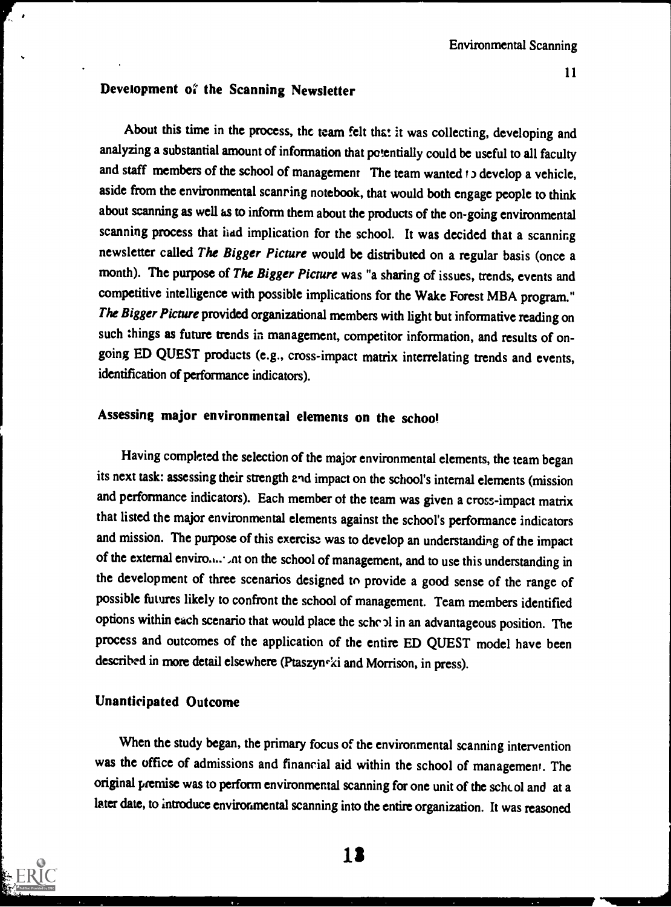## Development of the Scanning Newsletter

About this time in the process, the team felt that it was collecting, developing and analyzing a substantial amount of information that potentially could be useful to all faculty and staff members of the school of management The team wanted to develop a vehicle, aside from the environmental scanring notebook, that would both engage people to think about scanning as well as to inform them about the products of the on-going environmental scanning process that had implication for the school. It was decided that a scanning newsletter called The Bigger Picture would be distributed on a regular basis (once a month). The purpose of The Bigger Picture was "a sharing of issues, trends, events and competitive intelligence with possible implications for the Wake Forest MBA program." The Bigger Picture provided organizational members with light but informative reading on such things as future trends in management, competitor information, and results of ongoing ED QUEST products (e.g., cross-impact matrix interrelating trends and events, identification of performance indicators).

# Assessing major environmental elements on the school

Having completed the selection of the major environmental elements, the team began its next task: assessing their strength and impact on the school's internal elements (mission and performance indicators). Each member of the team was given a cross-impact matrix that listed the major environmental elements against the school's performance indicators and mission. The purpose of this exercise was to develop an understanding of the impact of the external enviro..... ,nt on the school of management, and to use this understanding in the development of three scenarios designed to provide a good sense of the range of possible futures likely to confront the school of management. Team members identified options within each scenario that would place the sche 11 in an advantageous position. The process and outcomes of the application of the entire ED QUEST model have been described in more detail elsewhere (Ptaszyn<sup>-ki</sup> and Morrison, in press).

#### Unanticipated Outcome

When the study began, the primary focus of the environmental scanning intervention was the office of admissions and financial aid within the school of management. The original premise was to perform environmental scanning for one unit of the schcol and at a later date, to introduce environmental scanning into the entire organization. It was reasoned



ŗ.,

13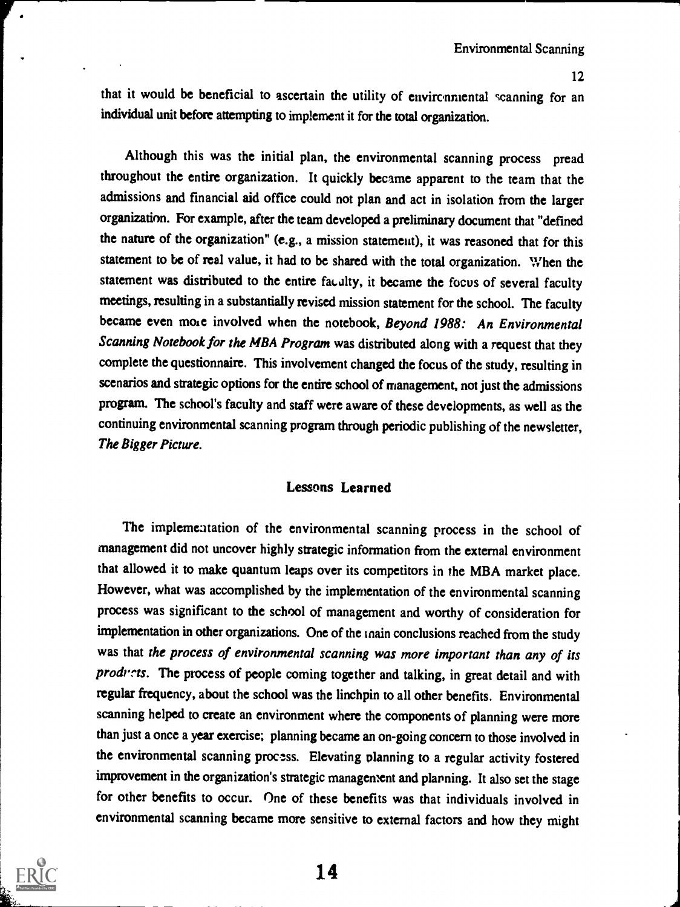that it would be beneficial to ascertain the utility of environmental scanning for an individual unit before attempting to implement it for the total organization.

Although this was the initial plan, the environmental scanning process pread throughout the entire organization. It quickly became apparent to the team that the admissions and financial aid office could not plan and act in isolation from the larger organization. For example, after the team developed a preliminary document that "defined the nature of the organization" (e.g., a mission statement), it was reasoned that for this statement to be of real value, it had to be shared with the total organization. When the statement was distributed to the entire faulty, it became the focus of several faculty meetings, resulting in a substantially revised mission statement for the school. The faculty became even more involved when the notebook, Beyond 1988: An Environmental Scanning Notebook for the MBA Program was distributed along with a request that they complete the questionnaire. This involvement changed the focus of the study, resulting in scenarios and strategic options for the entire school of management, not just the admissions program. The school's faculty and staff were aware of these developments, as well as the continuing environmental scanning program through periodic publishing of the newsletter, The Bigger Picture.

## Lessons Learned

The implementation of the environmental scanning process in the school of management did not uncover highly strategic information from the external environment that allowed it to make quantum leaps over its competitors in the MBA market place. However, what was accomplished by the implementation of the environmental scanning process was significant to the school of management and worthy of consideration for implementation in other organizations. One of the main conclusions reached from the study was that the process of environmental scanning was more important than any of its products. The process of people coming together and talking, in great detail and with regular frequency, about the school was the linchpin to all other benefits. Environmental scanning helped to create an environment where the components of planning were more than just a once a year exercise; planning became an on-going concern to those involved in the environmental scanning process. Elevating planning to a regular activity fostered improvement in the organization's strategic management and planning. It also set the stage for other benefits to occur. One of these benefits was that individuals involved in environmental scanning became more sensitive to external factors and how they might

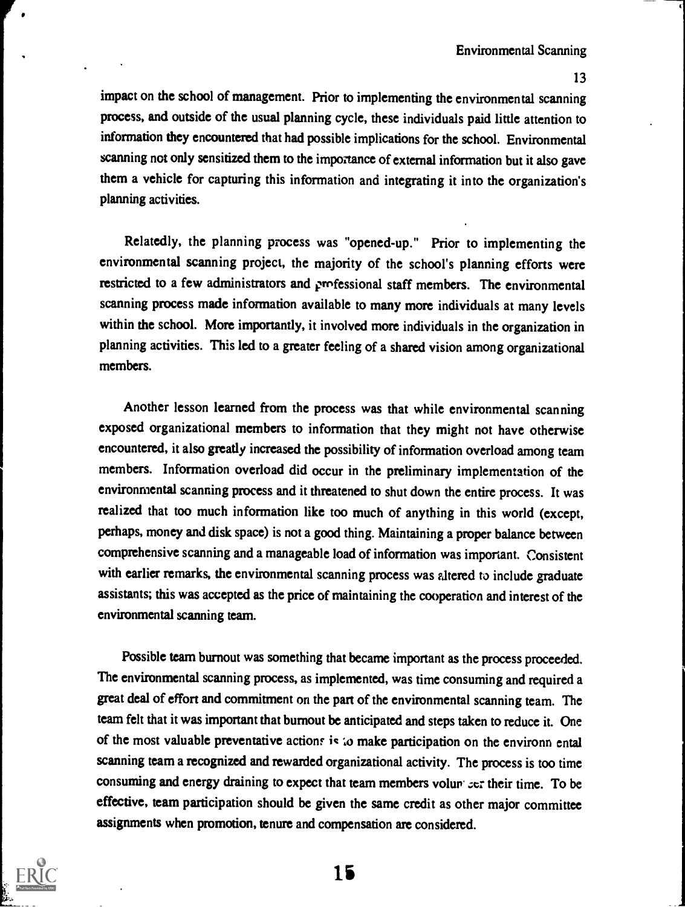impact on the school of management. Prior to implementing the environmental scanning process, and outside of the usual planning cycle, these individuals paid little attention to information they encountered that had possible implications for the school. Environmental scanning not only sensitized them to the importance of external information but it also gave them a vehicle for capturing this information and integrating it into the organization's planning activities.

Relatedly, the planning process was "opened-up." Prior to implementing the environmental scanning project, the majority of the school's planning efforts were restricted to a few administrators and professional staff members. The environmental scanning process made information available to many more individuals at many levels within the school. More importantly, it involved more individuals in the organization in planning activities. This led to a greater feeling of a shared vision among organizational members.

Another lesson learned from the process was that while environmental scanning exposed organizational members to information that they might not have otherwise encountered, it also greatly increased the possibility of information overload among team members. Information overload did occur in the preliminary implementation of the environmental scanning process and it threatened to shut down the entire process. It was realized that too much information like too much of anything in this world (except, perhaps, money and disk space) is not a good thing. Maintaining a proper balance between comprehensive scanning and a manageable load of information was important. Consistent with earlier remarks, the environmental scanning process was altered to include graduate assistants; this was accepted as the price of maintaining the cooperation and interest of the environmental scanning team.

Possible team burnout was something that became important as the process proceeded. The environmental scanning process, as implemented, was time consuming and required a great deal of effort and commitment on the part of the environmental scanning team. The team felt that it was important that burnout be anticipated and steps taken to reduce it. One of the most valuable preventative actions is to make participation on the environn ental scanning team a recognized and rewarded organizational activity. The process is too time consuming and energy draining to expect that team members volur ser their time. To be effective, team participation should be given the same credit as other major committee assignments when promotion, tenure and compensation are considered.

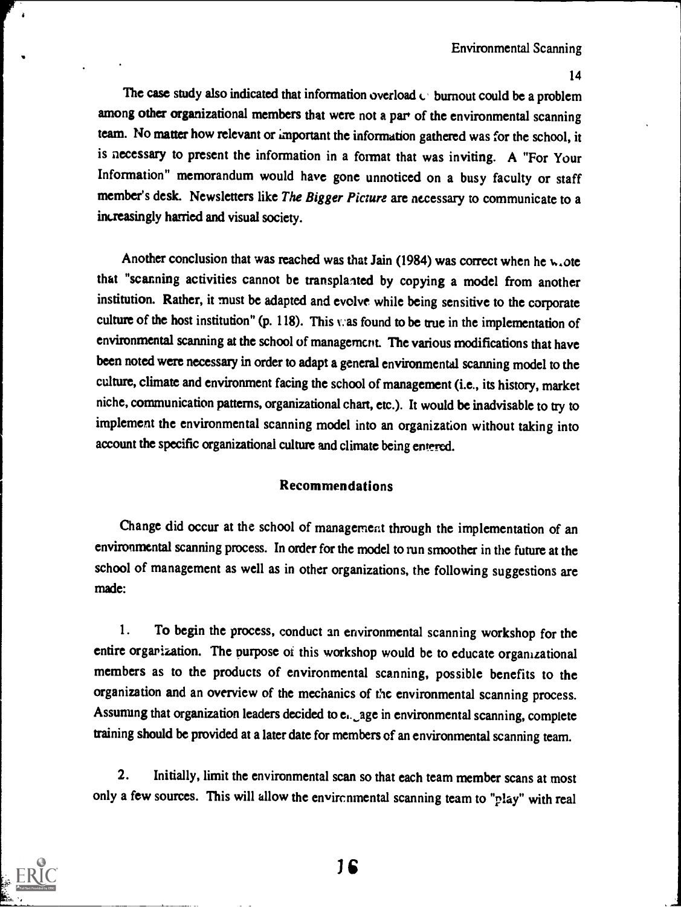The case study also indicated that information overload  $\mathfrak{c}$  burnout could be a problem among other organizational members that were not a par of the environmental scanning team. No matter how relevant or important the information gathered was for the school, it is necessary to present the information in a format that was inviting. A "For Your Information" memorandum would have gone unnoticed on a busy faculty or staff member's desk. Newsletters like The Bigger Picture are necessary to communicate to a increasingly harried and visual society.

Another conclusion that was reached was that Jain (1984) was correct when he  $w_{\star}$  ote that "scanning activities cannot be transplanted by copying a model from another institution. Rather, it must be adapted and evolve while being sensitive to the corporate culture of the host institution" (p. 118). This was found to be true in the implementation of environmental scanning at the school of management. The various modifications that have been noted were necessary in order to adapt a general environmental scanning model to the culture, climate and environment facing the school of management (i.e., its history, market niche, communication patterns, organizational chart, etc.). It would be inadvisable to try to implement the environmental scanning model into an organization without taking into account the specific organizational culture and climate being entered.

### Recommendations

Change did occur at the school of management through the implementation of an environmental scanning process. In order for the model to run smoother in the future at the school of management as well as in other organizations, the following suggestions are made:

1. To begin the process, conduct an environmental scanning workshop for the entire organization. The purpose of this workshop would be to educate organizational members as to the products of environmental scanning, possible benefits to the organization and an overview of the mechanics of the environmental scanning process. Assuming that organization leaders decided to ei. age in environmental scanning, complete training should be provided at a later date for members of an environmental scanning team.

2. Initially, limit the environmental scan so that each team member scans at most only a few sources. This will allow the environmental scanning team to "play" with real

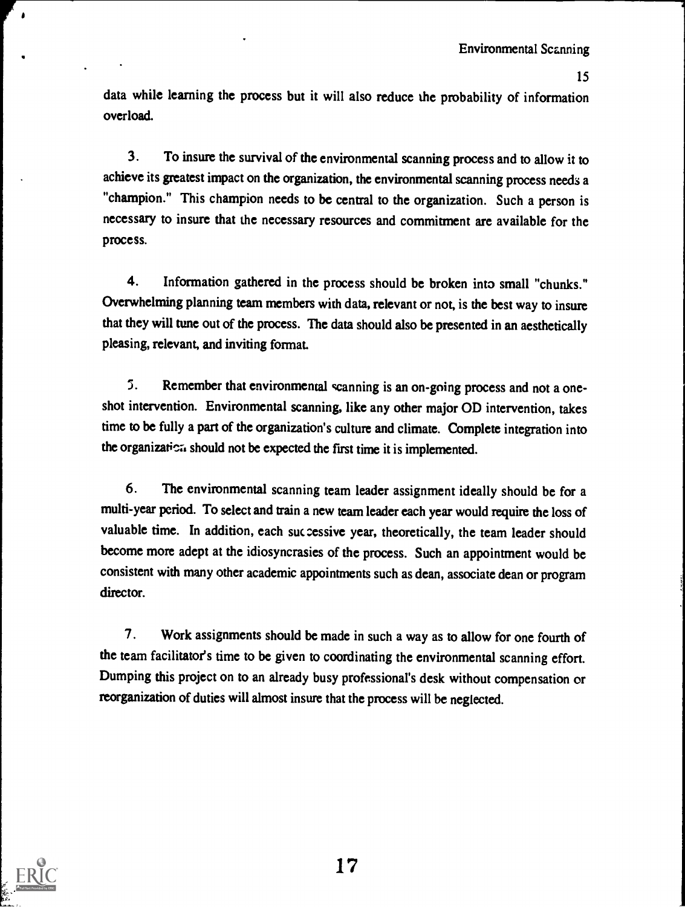3

data while learning the process but it will also reduce the probability of information overload.

3. To insure the survival of the environmental scanning process and to allow it to achieve its greatest impact on the organization, the environmental scanning process needs a "champion." This champion needs to be central to the organization. Such a person is necessary to insure that the necessary resources and commitment are available for the process.

4. Information gathered in the process should be broken into small "chunks." Overwhelming planning team members with data, relevant or not, is the best way to insure that they will tune out of the process. The data should also be presented in an aesthetically pleasing, relevant, and inviting format.

5. Remember that environmental scanning is an on-going process and not a oneshot intervention. Environmental scanning, like any other major OD intervention, takes time to be fully a part of the organization's culture and climate. Complete integration into the organization should not be expected the first time it is implemented.

6. The environmental scanning team leader assignment ideally should be for a multi-year period. To select and train a new team leader each year would require the loss of valuable time. In addition, each successive year, theoretically, the team leader should become more adept at the idiosyncrasies of the process. Such an appointment would be consistent with many other academic appointments such as dean, associate dean or program director.

7. Work assignments should be made in such a way as to allow for one fourth of the team facilitator's time to be given to coordinating the environmental scanning effort. Dumping this project on to an already busy professional's desk without compensation or reorganization of duties will almost insure that the process will be neglected.



 $\blacktriangle$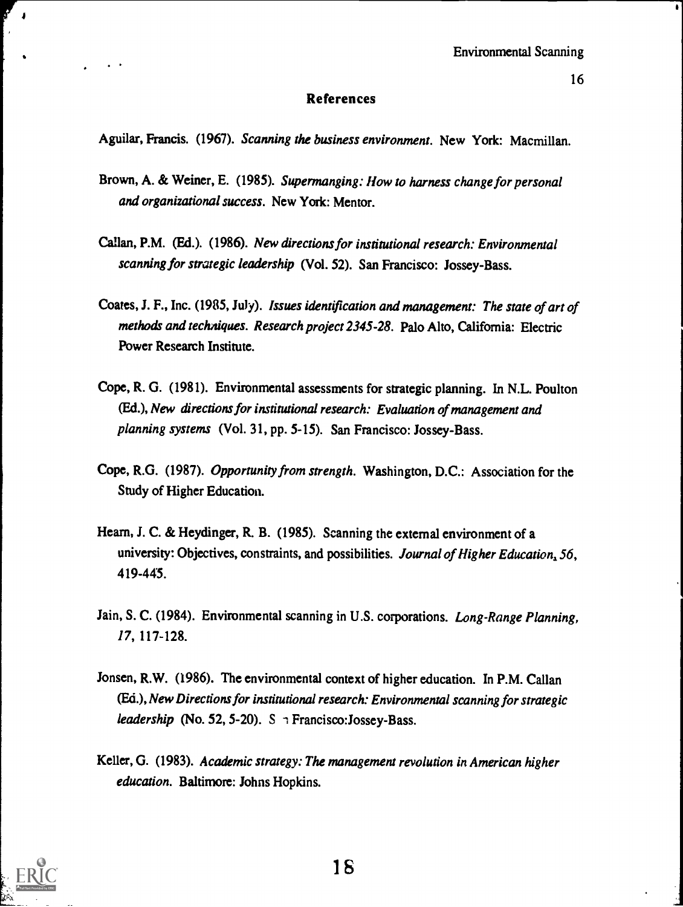$\bullet$ 

### References

Aguilar, Francis. (1967). Scanning the business environment. New York: Macmillan.

- Brown, A. & Weiner, E. (1985). Supermanging: How to harness change for personal and organizational success. New York: Mentor.
- Callan, P.M. (Ed.). (1986). New directions for institutional research: Environmental scanning for strategic leadership (Vol. 52). San Francisco: Jossey-Bass.
- Coates, J. F., Inc. (1985, July). Issues identification and management: The state of art of methods and techniques. Research project 2345-28. Palo Alto, California: Electric Power Research Institute.
- Cope, R. G. (1981). Environmental assessments for strategic planning. In N.L. Poulton (Ed.), New directions for institutional research: Evaluation of management and planning systems (Vol. 31, pp. 5-15). San Francisco: Jossey-Bass.
- Cope, R.G. (1987). Opportunity from strength. Washington, D.C.: Association for the Study of Higher Education.
- Hearn, J. C. & Heydinger, R. B. (1985). Scanning the external environment of a university: Objectives, constraints, and possibilities. Journal of Higher Education, 56, 419-445.
- Jain, S. C. (1984). Environmental scanning in U.S. corporations. Long-Range Planning, 17, 117-128.
- Jonsen, R.W. (1986). The environmental context of higher education. In P.M. Callan (Ed.), New Directions for institutional research: Environmental scanning for strategic leadership (No. 52, 5-20). S  $\rightarrow$  Francisco: Jossey-Bass.
- Keller, G. (1983). Academic strategy: The management revolution in American higher education. Baltimore: Johns Hopkins.



 $\bullet$  and the set of  $\bullet$